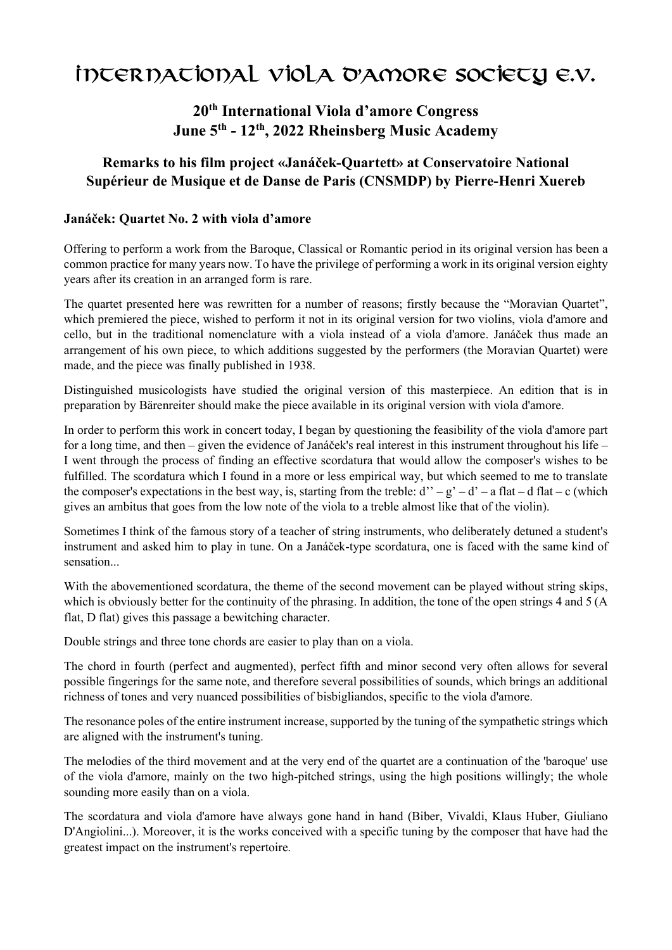# International Viola d'amore Society e.V.

## 20th International Viola d'amore Congress June 5th - 12th, 2022 Rheinsberg Music Academy

## Remarks to his film project «Janáček-Quartett» at Conservatoire National Supérieur de Musique et de Danse de Paris (CNSMDP) by Pierre-Henri Xuereb

### Janáček: Quartet No. 2 with viola d'amore

Offering to perform a work from the Baroque, Classical or Romantic period in its original version has been a common practice for many years now. To have the privilege of performing a work in its original version eighty years after its creation in an arranged form is rare.

The quartet presented here was rewritten for a number of reasons; firstly because the "Moravian Quartet", which premiered the piece, wished to perform it not in its original version for two violins, viola d'amore and cello, but in the traditional nomenclature with a viola instead of a viola d'amore. Janáček thus made an arrangement of his own piece, to which additions suggested by the performers (the Moravian Quartet) were made, and the piece was finally published in 1938.

Distinguished musicologists have studied the original version of this masterpiece. An edition that is in preparation by Bärenreiter should make the piece available in its original version with viola d'amore.

In order to perform this work in concert today, I began by questioning the feasibility of the viola d'amore part for a long time, and then – given the evidence of Janáček's real interest in this instrument throughout his life – I went through the process of finding an effective scordatura that would allow the composer's wishes to be fulfilled. The scordatura which I found in a more or less empirical way, but which seemed to me to translate the composer's expectations in the best way, is, starting from the treble:  $d'' - g' - d' - a$  flat – d flat – c (which gives an ambitus that goes from the low note of the viola to a treble almost like that of the violin).

Sometimes I think of the famous story of a teacher of string instruments, who deliberately detuned a student's instrument and asked him to play in tune. On a Janáček-type scordatura, one is faced with the same kind of sensation...

With the abovementioned scordatura, the theme of the second movement can be played without string skips, which is obviously better for the continuity of the phrasing. In addition, the tone of the open strings 4 and 5 (A flat, D flat) gives this passage a bewitching character.

Double strings and three tone chords are easier to play than on a viola.

The chord in fourth (perfect and augmented), perfect fifth and minor second very often allows for several possible fingerings for the same note, and therefore several possibilities of sounds, which brings an additional richness of tones and very nuanced possibilities of bisbigliandos, specific to the viola d'amore.

The resonance poles of the entire instrument increase, supported by the tuning of the sympathetic strings which are aligned with the instrument's tuning.

The melodies of the third movement and at the very end of the quartet are a continuation of the 'baroque' use of the viola d'amore, mainly on the two high-pitched strings, using the high positions willingly; the whole sounding more easily than on a viola.

The scordatura and viola d'amore have always gone hand in hand (Biber, Vivaldi, Klaus Huber, Giuliano D'Angiolini...). Moreover, it is the works conceived with a specific tuning by the composer that have had the greatest impact on the instrument's repertoire.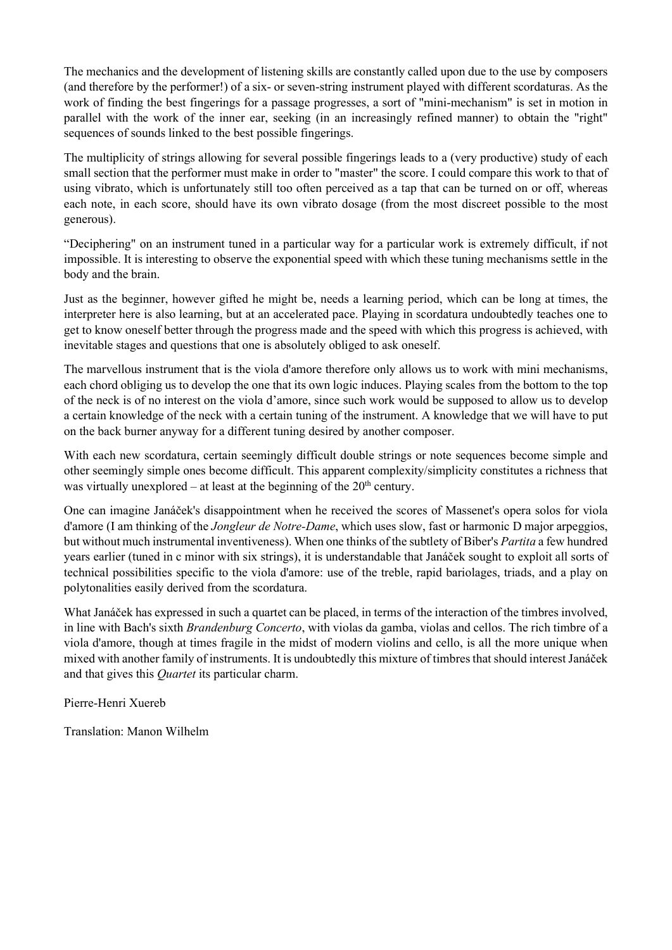The mechanics and the development of listening skills are constantly called upon due to the use by composers (and therefore by the performer!) of a six- or seven-string instrument played with different scordaturas. As the work of finding the best fingerings for a passage progresses, a sort of "mini-mechanism" is set in motion in parallel with the work of the inner ear, seeking (in an increasingly refined manner) to obtain the "right" sequences of sounds linked to the best possible fingerings.

The multiplicity of strings allowing for several possible fingerings leads to a (very productive) study of each small section that the performer must make in order to "master" the score. I could compare this work to that of using vibrato, which is unfortunately still too often perceived as a tap that can be turned on or off, whereas each note, in each score, should have its own vibrato dosage (from the most discreet possible to the most generous).

"Deciphering" on an instrument tuned in a particular way for a particular work is extremely difficult, if not impossible. It is interesting to observe the exponential speed with which these tuning mechanisms settle in the body and the brain.

Just as the beginner, however gifted he might be, needs a learning period, which can be long at times, the interpreter here is also learning, but at an accelerated pace. Playing in scordatura undoubtedly teaches one to get to know oneself better through the progress made and the speed with which this progress is achieved, with inevitable stages and questions that one is absolutely obliged to ask oneself.

The marvellous instrument that is the viola d'amore therefore only allows us to work with mini mechanisms, each chord obliging us to develop the one that its own logic induces. Playing scales from the bottom to the top of the neck is of no interest on the viola d'amore, since such work would be supposed to allow us to develop a certain knowledge of the neck with a certain tuning of the instrument. A knowledge that we will have to put on the back burner anyway for a different tuning desired by another composer.

With each new scordatura, certain seemingly difficult double strings or note sequences become simple and other seemingly simple ones become difficult. This apparent complexity/simplicity constitutes a richness that was virtually unexplored – at least at the beginning of the  $20<sup>th</sup>$  century.

One can imagine Janáček's disappointment when he received the scores of Massenet's opera solos for viola d'amore (I am thinking of the Jongleur de Notre-Dame, which uses slow, fast or harmonic D major arpeggios, but without much instrumental inventiveness). When one thinks of the subtlety of Biber's Partita a few hundred years earlier (tuned in c minor with six strings), it is understandable that Janáček sought to exploit all sorts of technical possibilities specific to the viola d'amore: use of the treble, rapid bariolages, triads, and a play on polytonalities easily derived from the scordatura.

What Janáček has expressed in such a quartet can be placed, in terms of the interaction of the timbres involved, in line with Bach's sixth Brandenburg Concerto, with violas da gamba, violas and cellos. The rich timbre of a viola d'amore, though at times fragile in the midst of modern violins and cello, is all the more unique when mixed with another family of instruments. It is undoubtedly this mixture of timbres that should interest Janáček and that gives this Quartet its particular charm.

Pierre-Henri Xuereb

Translation: Manon Wilhelm